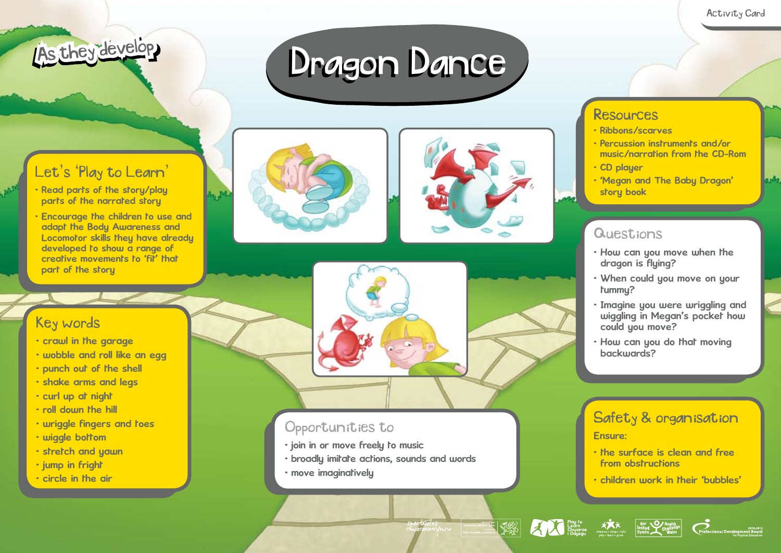

# Dragon Dance

## Let's 'Play to Learn'

- Read parts of the story/play parts of the narrated story
- Encourage the children to use and adapt the Body Awareness and Locomotor skills they have already developed to show a range of creative movements to 'fit' that part of the story





### Key words

- crawl in the garage
- wobble and roll like an egg
- punch out of the shell
- shake arms and legs
- curl up at night
- roll down the hill
- wriggle fingers and toes
- wiggle bottom
- stretch and yawn
- jump in fright
- circle in the air



- join in or move freely to music
- broadly imitate actions, sounds and words
- move imaginatively

## Resources

- Ribbons/scarves
- Percussion instruments and/or music/narration from the CD-Rom
- CD player
- 'Megan and The Baby Dragon' story book

## **Questions**

- How can you move when the dragon is flying?
- When could you move on your tummy?
- Imagine you were wriggling and wiggling in Megan's pocket how could you move?
- How can you do that moving backwards?

## Safety & organisation

#### Ensure:

- the surface is clean and free from obstructions
- children work in their 'bubbles'